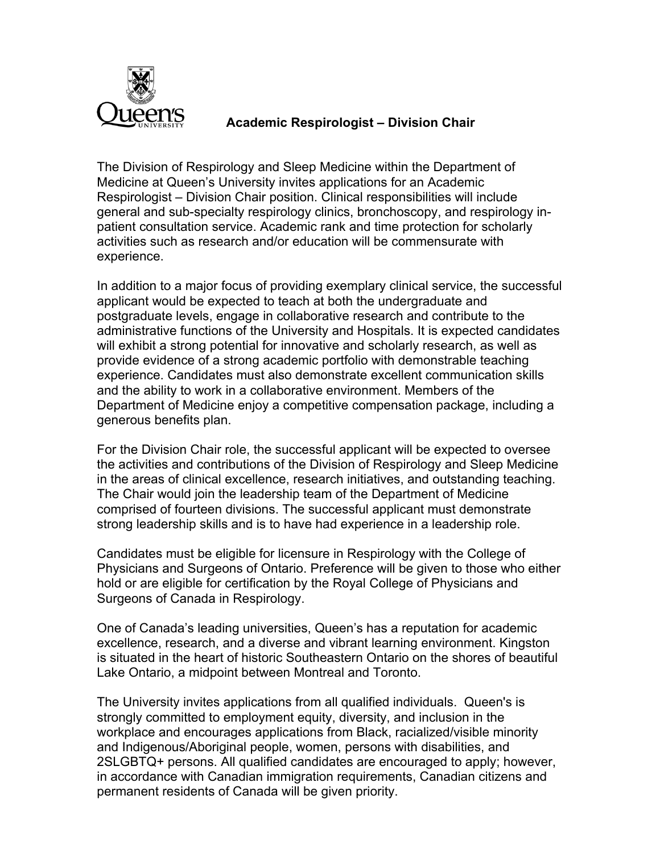

## **Academic Respirologist – Division Chair**

The Division of Respirology and Sleep Medicine within the Department of Medicine at Queen's University invites applications for an Academic Respirologist – Division Chair position. Clinical responsibilities will include general and sub-specialty respirology clinics, bronchoscopy, and respirology inpatient consultation service. Academic rank and time protection for scholarly activities such as research and/or education will be commensurate with experience.

In addition to a major focus of providing exemplary clinical service, the successful applicant would be expected to teach at both the undergraduate and postgraduate levels, engage in collaborative research and contribute to the administrative functions of the University and Hospitals. It is expected candidates will exhibit a strong potential for innovative and scholarly research, as well as provide evidence of a strong academic portfolio with demonstrable teaching experience. Candidates must also demonstrate excellent communication skills and the ability to work in a collaborative environment. Members of the Department of Medicine enjoy a competitive compensation package, including a generous benefits plan.

For the Division Chair role, the successful applicant will be expected to oversee the activities and contributions of the Division of Respirology and Sleep Medicine in the areas of clinical excellence, research initiatives, and outstanding teaching. The Chair would join the leadership team of the Department of Medicine comprised of fourteen divisions. The successful applicant must demonstrate strong leadership skills and is to have had experience in a leadership role.

Candidates must be eligible for licensure in Respirology with the College of Physicians and Surgeons of Ontario. Preference will be given to those who either hold or are eligible for certification by the Royal College of Physicians and Surgeons of Canada in Respirology.

One of Canada's leading universities, Queen's has a reputation for academic excellence, research, and a diverse and vibrant learning environment. Kingston is situated in the heart of historic Southeastern Ontario on the shores of beautiful Lake Ontario, a midpoint between Montreal and Toronto.

The University invites applications from all qualified individuals. Queen's is strongly committed to employment equity, diversity, and inclusion in the workplace and encourages applications from Black, racialized/visible minority and Indigenous/Aboriginal people, women, persons with disabilities, and 2SLGBTQ+ persons. All qualified candidates are encouraged to apply; however, in accordance with Canadian immigration requirements, Canadian citizens and permanent residents of Canada will be given priority.